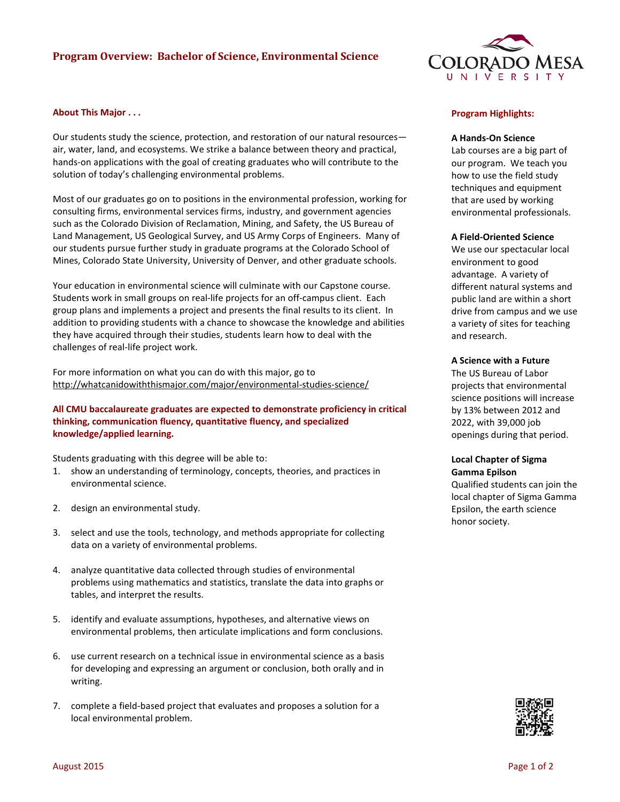# **Program Overview: Bachelor of Science, Environmental Science**



## **About This Major . . .**

Our students study the science, protection, and restoration of our natural resources air, water, land, and ecosystems. We strike a balance between theory and practical, hands-on applications with the goal of creating graduates who will contribute to the solution of today's challenging environmental problems.

Most of our graduates go on to positions in the environmental profession, working for consulting firms, environmental services firms, industry, and government agencies such as the Colorado Division of Reclamation, Mining, and Safety, the US Bureau of Land Management, US Geological Survey, and US Army Corps of Engineers. Many of our students pursue further study in graduate programs at the Colorado School of Mines, Colorado State University, University of Denver, and other graduate schools.

Your education in environmental science will culminate with our Capstone course. Students work in small groups on real-life projects for an off-campus client. Each group plans and implements a project and presents the final results to its client. In addition to providing students with a chance to showcase the knowledge and abilities they have acquired through their studies, students learn how to deal with the challenges of real-life project work.

For more information on what you can do with this major, go to http://whatcanidowiththismajor.com/major/environmental-studies-science/

# **All CMU baccalaureate graduates are expected to demonstrate proficiency in critical thinking, communication fluency, quantitative fluency, and specialized knowledge/applied learning.**

Students graduating with this degree will be able to:

- 1. show an understanding of terminology, concepts, theories, and practices in environmental science.
- 2. design an environmental study.
- 3. select and use the tools, technology, and methods appropriate for collecting data on a variety of environmental problems.
- 4. analyze quantitative data collected through studies of environmental problems using mathematics and statistics, translate the data into graphs or tables, and interpret the results.
- 5. identify and evaluate assumptions, hypotheses, and alternative views on environmental problems, then articulate implications and form conclusions.
- 6. use current research on a technical issue in environmental science as a basis for developing and expressing an argument or conclusion, both orally and in writing.
- 7. complete a field-based project that evaluates and proposes a solution for a local environmental problem.

## **Program Highlights:**

#### **A Hands-On Science**

Lab courses are a big part of our program. We teach you how to use the field study techniques and equipment that are used by working environmental professionals.

#### **A Field-Oriented Science**

We use our spectacular local environment to good advantage. A variety of different natural systems and public land are within a short drive from campus and we use a variety of sites for teaching and research.

#### **A Science with a Future**

The US Bureau of Labor projects that environmental science positions will increase by 13% between 2012 and 2022, with 39,000 job openings during that period.

#### **Local Chapter of Sigma Gamma Epilson**

Qualified students can join the local chapter of Sigma Gamma Epsilon, the earth science honor society.